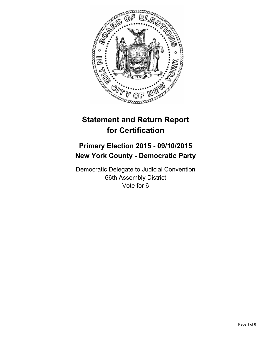

# **Statement and Return Report for Certification**

## **Primary Election 2015 - 09/10/2015 New York County - Democratic Party**

Democratic Delegate to Judicial Convention 66th Assembly District Vote for 6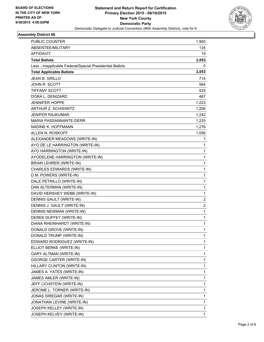

#### **Assembly District 66**

| <b>PUBLIC COUNTER</b>                                    | 1,900        |
|----------------------------------------------------------|--------------|
| ABSENTEE/MILITARY                                        | 134          |
| AFFIDAVIT                                                | 19           |
| <b>Total Ballots</b>                                     | 2,053        |
| Less - Inapplicable Federal/Special Presidential Ballots | 0            |
| <b>Total Applicable Ballots</b>                          | 2,053        |
| <b>JEAN B. GRILLO</b>                                    | 714          |
| JOHN R. SCOTT                                            | 584          |
| TIFFANY SCOTT                                            | 525          |
| DORA L. DENIZARD                                         | 487          |
| <b>JENNIFER HOPPE</b>                                    | 1,223        |
| <b>ARTHUR Z. SCHWARTZ</b>                                | 1,206        |
| JENIFER RAJKUMAR                                         | 1,242        |
| <b>MARIA PASSANNANTE-DERR</b>                            | 1,225        |
| NADINE K. HOFFMANN                                       | 1,276        |
| ALLEN N. ROSKOFF                                         | 1,056        |
| ALEXANDER MEADOWS (WRITE-IN)                             | 1            |
| AYO DE LE HARRINGTON (WRITE-IN)                          | 1            |
| AYO HARRINGTON (WRITE-IN)                                | 1            |
| AYODELENE HARRINGTON (WRITE-IN)                          | $\mathbf{1}$ |
| BRIAN LEHRER (WRITE-IN)                                  | 1            |
| CHARLES EDWARDS (WRITE-IN)                               | 1            |
| D.M. POWERS (WRITE-IN)                                   | $\mathbf{1}$ |
| DALE PETRILLO (WRITE-IN)                                 | 1            |
| DAN ALTERMAN (WRITE-IN)                                  | 1            |
| DAVID HERSHEY WEBB (WRITE-IN)                            | 1            |
| DENNIS GAULT (WRITE-IN)                                  | 2            |
| DENNIS J. GAULT (WRITE-IN)                               | 2            |
| DENNIS NEWMAN (WRITE-IN)                                 | 1            |
| DEREK DUFFEY (WRITE-IN)                                  | 1            |
| DIANA RHEINHARDT (WRITE-IN)                              | 1            |
| DONALD GROVE (WRITE-IN)                                  | 1            |
| DONALD TRUMP (WRITE-IN)                                  | 1            |
| EDWARD RODRIGUEZ (WRITE-IN)                              | 1            |
| ELLIOT BERKE (WRITE-IN)                                  | 1            |
| GARY ALTMAN (WRITE-IN)                                   | 1            |
| <b>GSORGE CARTER (WRITE-IN)</b>                          | 1            |
| HILLARY CLINTON (WRITE-IN)                               | 1            |
| JAMES A. YATES (WRITE-IN)                                | 1            |
| JAMES AMLER (WRITE-IN)                                   | 1            |
| JEFF LICHSTEIN (WRITE-IN)                                | 1            |
| JEROME L. TORNER (WRITE-IN)                              | 1            |
| JONAS SIREGAR (WRITE-IN)                                 | 1            |
| JONATHAN LEVINE (WRITE-IN)                               | 1            |
| JOSEPH KELLEY (WRITE-IN)                                 | 1            |
| JOSEPH KELVEY (WRITE-IN)                                 | 1            |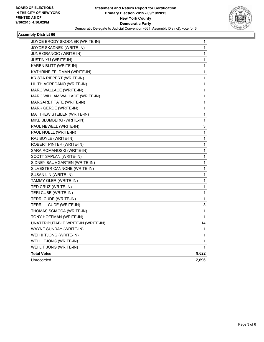

## **Assembly District 66**

| JOYCE BRODY SKODNER (WRITE-IN)     | 1     |
|------------------------------------|-------|
| JOYCE SKADNEK (WRITE-IN)           | 1     |
| JUNE GRANCIO (WRITE-IN)            | 1     |
| JUSTIN YU (WRITE-IN)               | 1     |
| KAREN BLITT (WRITE-IN)             | 1     |
| KATHRINE FELDMAN (WRITE-IN)        | 1     |
| KRISTA RIPPERT (WRITE-IN)          | 1     |
| LILITH AGREDANO (WRITE-IN)         | 1     |
| MARC WALLACE (WRITE-IN)            | 1     |
| MARC WILLIAM WALLACE (WRITE-IN)    | 1     |
| MARGARET TATE (WRITE-IN)           | 1     |
| MARK GERDE (WRITE-IN)              | 1     |
| MATTHEW STEILEN (WRITE-IN)         | 1     |
| MIKE BLUMBERG (WRITE-IN)           | 1     |
| PAUL NEWELL (WRITE-IN)             | 3     |
| PAUL NOELL (WRITE-IN)              | 1     |
| RAJ BOYLE (WRITE-IN)               | 1     |
| ROBERT PINTER (WRITE-IN)           | 1     |
| SARA ROMANOSKI (WRITE-IN)          | 1     |
| SCOTT SAPLAN (WRITE-IN)            | 1     |
| SIDNEY BAUMGARTEN (WRITE-IN)       | 1     |
| SILVESTER CANNONE (WRITE-IN)       | 1     |
| SUSAN LIN (WRITE-IN)               | 1     |
| TAMMY OLER (WRITE-IN)              | 1     |
| TED CRUZ (WRITE-IN)                | 1     |
| TERI CUBE (WRITE-IN)               | 1     |
| TERRI CUDE (WRITE-IN)              | 1     |
| TERRI L. CUDE (WRITE-IN)           | 3     |
| THOMAS SCIACCA (WRITE-IN)          | 1     |
| TONY HOFFMAN (WRITE-IN)            | 1     |
| UNATTRIBUTABLE WRITE-IN (WRITE-IN) | 14    |
| WAYNE SUNDAY (WRITE-IN)            | 1     |
| WEI HI TJONG (WRITE-IN)            | 1     |
| WEI LI TJONG (WRITE-IN)            | 1     |
| WEI LIT JONG (WRITE-IN)            | 1     |
| <b>Total Votes</b>                 | 9,622 |
| Unrecorded                         | 2,696 |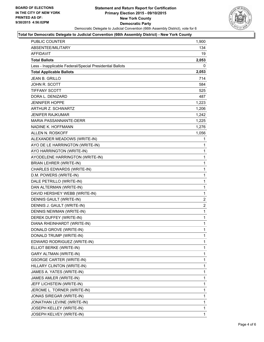

#### **Total for Democratic Delegate to Judicial Convention (66th Assembly District) - New York County**

| PUBLIC COUNTER                                           | 1,900          |
|----------------------------------------------------------|----------------|
| <b>ABSENTEE/MILITARY</b>                                 | 134            |
| AFFIDAVIT                                                | 19             |
| <b>Total Ballots</b>                                     | 2,053          |
| Less - Inapplicable Federal/Special Presidential Ballots | 0              |
| <b>Total Applicable Ballots</b>                          | 2,053          |
| <b>JEAN B. GRILLO</b>                                    | 714            |
| <b>JOHN R. SCOTT</b>                                     | 584            |
| <b>TIFFANY SCOTT</b>                                     | 525            |
| DORA L. DENIZARD                                         | 487            |
| <b>JENNIFER HOPPE</b>                                    | 1,223          |
| ARTHUR Z. SCHWARTZ                                       | 1,206          |
| <b>JENIFER RAJKUMAR</b>                                  | 1,242          |
| MARIA PASSANNANTE-DERR                                   | 1,225          |
| NADINE K. HOFFMANN                                       | 1,276          |
| ALLEN N. ROSKOFF                                         | 1,056          |
| ALEXANDER MEADOWS (WRITE-IN)                             | 1              |
| AYO DE LE HARRINGTON (WRITE-IN)                          | 1              |
| AYO HARRINGTON (WRITE-IN)                                | 1              |
| AYODELENE HARRINGTON (WRITE-IN)                          | 1              |
| <b>BRIAN LEHRER (WRITE-IN)</b>                           | 1              |
| CHARLES EDWARDS (WRITE-IN)                               | 1              |
| D.M. POWERS (WRITE-IN)                                   | 1              |
| DALE PETRILLO (WRITE-IN)                                 | 1              |
| DAN ALTERMAN (WRITE-IN)                                  | 1              |
| DAVID HERSHEY WEBB (WRITE-IN)                            | 1              |
| DENNIS GAULT (WRITE-IN)                                  | 2              |
| DENNIS J. GAULT (WRITE-IN)                               | $\overline{2}$ |
| <b>DENNIS NEWMAN (WRITE-IN)</b>                          | 1              |
| DEREK DUFFEY (WRITE-IN)                                  | 1              |
| DIANA RHEINHARDT (WRITE-IN)                              | 1              |
| DONALD GROVE (WRITE-IN)                                  | 1              |
| DONALD TRUMP (WRITE-IN)                                  | 1              |
| EDWARD RODRIGUEZ (WRITE-IN)                              | 1              |
| ELLIOT BERKE (WRITE-IN)                                  | 1              |
| GARY ALTMAN (WRITE-IN)                                   | 1              |
| <b>GSORGE CARTER (WRITE-IN)</b>                          | 1              |
| HILLARY CLINTON (WRITE-IN)                               | 1              |
| JAMES A. YATES (WRITE-IN)                                | 1              |
| JAMES AMLER (WRITE-IN)                                   | 1              |
| JEFF LICHSTEIN (WRITE-IN)                                | 1              |
| JEROME L. TORNER (WRITE-IN)                              | 1              |
| JONAS SIREGAR (WRITE-IN)                                 | 1              |
| JONATHAN LEVINE (WRITE-IN)                               | 1              |
| JOSEPH KELLEY (WRITE-IN)                                 | 1              |
| JOSEPH KELVEY (WRITE-IN)                                 | 1              |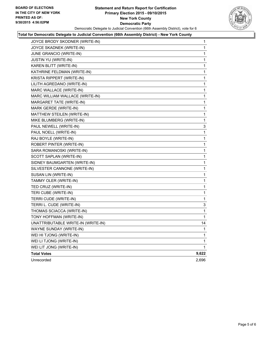#### **Statement and Return Report for Certification Primary Election 2015 - 09/10/2015 New York County Democratic Party** Democratic Delegate to Judicial Convention (66th Assembly District), vote for 6



#### **Total for Democratic Delegate to Judicial Convention (66th Assembly District) - New York County**

| JOYCE BRODY SKODNER (WRITE-IN)     | 1     |
|------------------------------------|-------|
| JOYCE SKADNEK (WRITE-IN)           | 1     |
| <b>JUNE GRANCIO (WRITE-IN)</b>     | 1     |
| JUSTIN YU (WRITE-IN)               | 1     |
| KAREN BLITT (WRITE-IN)             | 1     |
| KATHRINE FELDMAN (WRITE-IN)        | 1     |
| KRISTA RIPPERT (WRITE-IN)          | 1     |
| LILITH AGREDANO (WRITE-IN)         | 1     |
| MARC WALLACE (WRITE-IN)            | 1     |
| MARC WILLIAM WALLACE (WRITE-IN)    | 1     |
| MARGARET TATE (WRITE-IN)           | 1     |
| MARK GERDE (WRITE-IN)              | 1     |
| MATTHEW STEILEN (WRITE-IN)         | 1     |
| MIKE BLUMBERG (WRITE-IN)           | 1     |
| PAUL NEWELL (WRITE-IN)             | 3     |
| PAUL NOELL (WRITE-IN)              | 1     |
| RAJ BOYLE (WRITE-IN)               | 1     |
| ROBERT PINTER (WRITE-IN)           | 1     |
| SARA ROMANOSKI (WRITE-IN)          | 1     |
| SCOTT SAPLAN (WRITE-IN)            | 1     |
| SIDNEY BAUMGARTEN (WRITE-IN)       | 1     |
| SILVESTER CANNONE (WRITE-IN)       | 1     |
| SUSAN LIN (WRITE-IN)               | 1     |
| TAMMY OLER (WRITE-IN)              | 1     |
| TED CRUZ (WRITE-IN)                | 1     |
| TERI CUBE (WRITE-IN)               | 1     |
| TERRI CUDE (WRITE-IN)              | 1     |
| TERRI L. CUDE (WRITE-IN)           | 3     |
| THOMAS SCIACCA (WRITE-IN)          | 1     |
| TONY HOFFMAN (WRITE-IN)            | 1     |
| UNATTRIBUTABLE WRITE-IN (WRITE-IN) | 14    |
| WAYNE SUNDAY (WRITE-IN)            | 1     |
| WEI HI TJONG (WRITE-IN)            | 1     |
| WEI LI TJONG (WRITE-IN)            | 1     |
| WEI LIT JONG (WRITE-IN)            | 1     |
| <b>Total Votes</b>                 | 9,622 |
| Unrecorded                         | 2,696 |